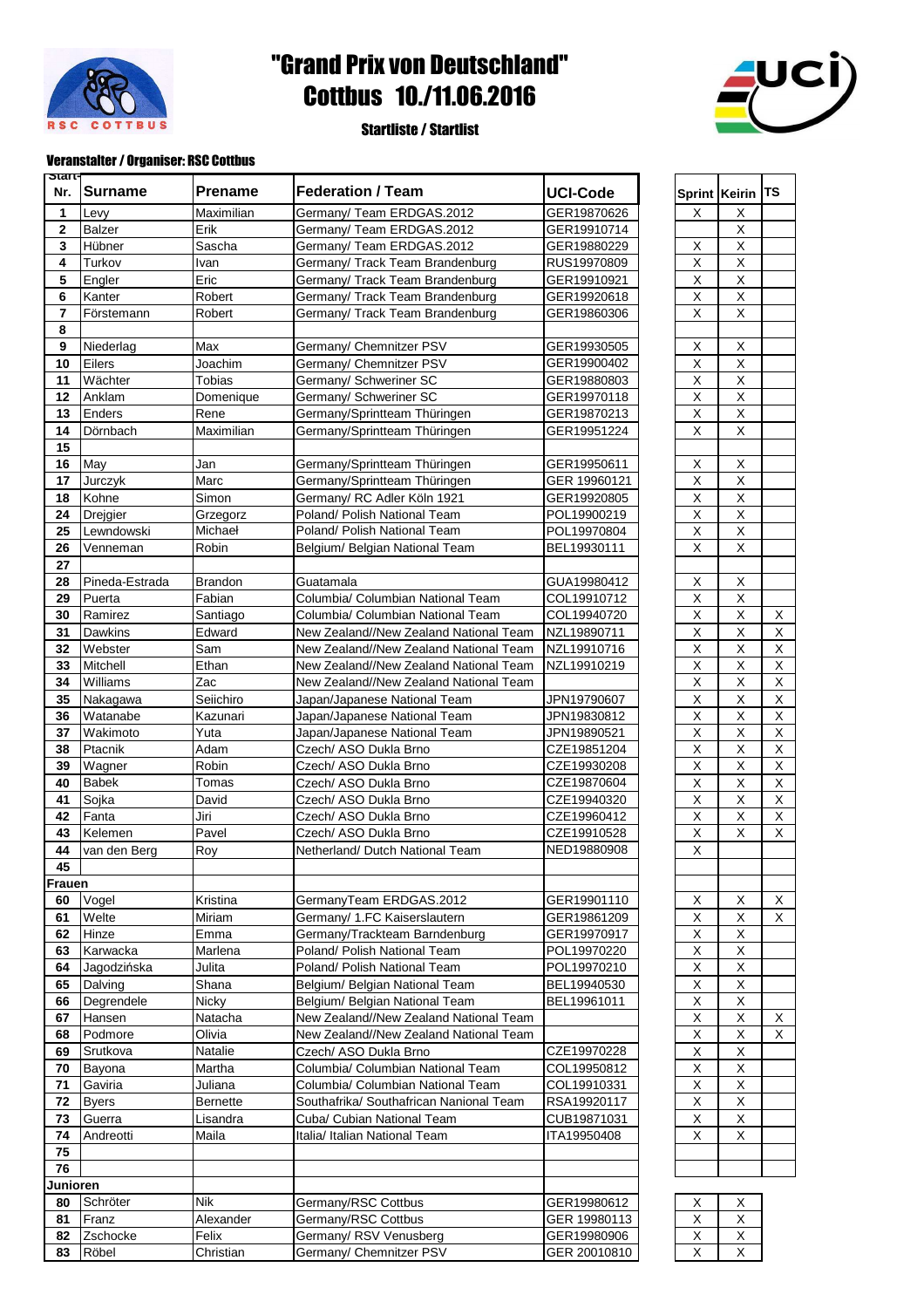

## "Grand Prix von Deutschland" Cottbus 10./11.06.2016

## Startliste / Startlist



## Veranstalter / Organiser: RSC Cottbus

| Start-<br>Nr.           | <b>Surname</b> | <b>Prename</b>  | <b>Federation / Team</b>                                      | <b>UCI-Code</b>            |                               | Sprint Keirin TS             |          |
|-------------------------|----------------|-----------------|---------------------------------------------------------------|----------------------------|-------------------------------|------------------------------|----------|
| 1                       | Levy           | Maximilian      | Germany/ Team ERDGAS.2012                                     | GER19870626                | X                             | Χ                            |          |
| 2                       | <b>Balzer</b>  | Erik            | Germany/ Team ERDGAS.2012                                     | GER19910714                |                               | Χ                            |          |
| $\mathbf{3}$            | Hübner         | Sascha          | Germany/ Team ERDGAS.2012                                     | GER19880229                | X                             | X                            |          |
| $\overline{\mathbf{4}}$ | Turkov         | Ivan            | Germany/ Track Team Brandenburg                               | RUS19970809                | $\overline{\mathsf{x}}$       | $\overline{\mathsf{x}}$      |          |
| 5                       | Engler         | Eric            | Germany/ Track Team Brandenburg                               | GER19910921                | $\sf X$                       | X                            |          |
| 6                       | Kanter         | Robert          | Germany/ Track Team Brandenburg                               | GER19920618                | $\sf X$                       | Χ                            |          |
| $\overline{7}$          | Förstemann     | Robert          | Germany/ Track Team Brandenburg                               | GER19860306                | $\mathsf X$                   | Χ                            |          |
| 8                       |                |                 |                                                               |                            |                               |                              |          |
| 9                       | Niederlag      | Max             | Germany/ Chemnitzer PSV                                       | GER19930505                | $\sf X$                       | $\overline{\mathsf{x}}$      |          |
| 10                      | Eilers         | Joachim         | Germany/ Chemnitzer PSV                                       | GER19900402                | $\sf X$                       | $\overline{\mathsf{x}}$      |          |
| 11                      | Wächter        | Tobias          | Germany/ Schweriner SC                                        | GER19880803                | $\mathsf X$                   | X                            |          |
| 12                      | Anklam         | Domenique       | Germany/ Schweriner SC                                        | GER19970118                | $\sf X$                       | X                            |          |
| 13                      | Enders         | Rene            | Germany/Sprintteam Thüringen                                  | GER19870213                | $\sf X$                       | X                            |          |
| 14                      | Dörnbach       | Maximilian      | Germany/Sprintteam Thüringen                                  | GER19951224                | X                             | $\overline{\mathsf{x}}$      |          |
| 15                      |                |                 |                                                               |                            |                               |                              |          |
| 16                      | May            | Jan             | Germany/Sprintteam Thüringen                                  | GER19950611                | X                             | X                            |          |
| 17                      | Jurczyk        | Marc            | Germany/Sprintteam Thüringen                                  | GER 19960121               | $\mathsf X$                   | X                            |          |
| 18                      | Kohne          | Simon           | Germany/ RC Adler Köln 1921                                   | GER19920805                | $\mathsf X$                   | X                            |          |
| 24                      | Drejgier       | Grzegorz        | Poland/ Polish National Team                                  | POL19900219                | $\overline{X}$                | $\overline{\mathsf{x}}$      |          |
| 25                      | Lewndowski     | Michaeł         | Poland/ Polish National Team                                  | POL19970804                | $\overline{X}$                | $\overline{\mathsf{x}}$      |          |
| 26                      | Venneman       | Robin           | Belgium/ Belgian National Team                                | BEL19930111                | X                             | X                            |          |
| 27                      |                |                 |                                                               |                            |                               |                              |          |
| 28                      | Pineda-Estrada | <b>Brandon</b>  | Guatamala                                                     | GUA19980412                | Χ                             | X                            |          |
| 29                      | Puerta         | Fabian          | Columbia/ Columbian National Team                             | COL19910712                | $\overline{\mathsf{x}}$       | $\overline{\mathsf{x}}$      |          |
| 30                      | Ramirez        | Santiago        | Columbia/ Columbian National Team                             | COL19940720                | X                             | $\overline{\mathsf{x}}$      | $\times$ |
| 31                      | Dawkins        | Edward          | New Zealand//New Zealand National Team                        | NZL19890711                | $\sf X$                       | X                            | $\times$ |
| 32                      | Webster        | Sam             | New Zealand//New Zealand National Team                        | NZL19910716                | $\sf X$                       | X                            | X        |
| 33                      | Mitchell       | Ethan           | New Zealand//New Zealand National Team                        | NZL19910219                | $\sf X$                       | X                            | $\times$ |
| 34                      | Williams       | Zac             | New Zealand//New Zealand National Team                        |                            | $\overline{X}$                | $\overline{\mathsf{x}}$      | X        |
| 35                      | Nakagawa       | Seiichiro       | Japan/Japanese National Team                                  | JPN19790607                | $\overline{X}$                | $\overline{\mathsf{x}}$      | $\times$ |
| 36                      | Watanabe       | Kazunari        | Japan/Japanese National Team                                  | JPN19830812                | $\sf X$                       | X                            | $\times$ |
| 37                      | Wakimoto       | Yuta            | Japan/Japanese National Team                                  | JPN19890521                | $\sf X$                       | X                            | $\times$ |
| 38                      | Ptacnik        | Adam            | Czech/ ASO Dukla Brno                                         | CZE19851204                | $\sf X$                       | X                            | $\times$ |
| 39                      | Wagner         | Robin           | Czech/ ASO Dukla Brno                                         | CZE19930208                | $\overline{\mathsf{x}}$       | $\overline{\mathsf{x}}$      | X        |
| 40                      | <b>Babek</b>   | Tomas           | Czech/ ASO Dukla Brno                                         | CZE19870604                | $\overline{X}$                | $\overline{\mathsf{x}}$      | $\times$ |
| 41                      | Sojka          | David           | Czech/ ASO Dukla Brno                                         | CZE19940320                | $\mathsf X$                   | X                            | $\times$ |
| 42                      | Fanta          | Jiri            | Czech/ ASO Dukla Brno                                         | CZE19960412                | $\mathsf X$                   | X                            | X        |
| 43                      | Kelemen        | Pavel           | Czech/ ASO Dukla Brno                                         | CZE19910528<br>NED19880908 | $\sf X$                       | X                            | $\times$ |
| 44                      | van den Berg   | Roy             | Netherland/ Dutch National Team                               |                            | $\overline{X}$                |                              |          |
| 45<br>Frauen            |                |                 |                                                               |                            |                               |                              |          |
| 60                      |                |                 |                                                               |                            |                               |                              |          |
|                         | Vogel          | Kristina        | GermanyTeam ERDGAS.2012                                       | GER19901110                | X                             | Χ                            | X        |
| 61                      | Welte<br>Hinze | Miriam          | Germany/ 1.FC Kaiserslautern                                  | GER19861209<br>GER19970917 | $\mathsf X$<br>$\overline{X}$ | Χ<br>$\overline{\mathsf{x}}$ | X        |
| 62<br>63                | Karwacka       | Emma<br>Marlena | Germany/Trackteam Barndenburg<br>Poland/ Polish National Team | POL19970220                | $\overline{X}$                | $\mathsf X$                  |          |
| 64                      | Jagodzińska    | Julita          | Poland/ Polish National Team                                  | POL19970210                | $\mathsf X$                   | $\mathsf X$                  |          |
| 65                      | Dalving        | Shana           | Belgium/ Belgian National Team                                | BEL19940530                | $\mathsf X$                   | X                            |          |
| 66                      | Degrendele     | Nicky           | Belgium/ Belgian National Team                                | BEL19961011                | $\mathsf X$                   | Χ                            |          |
| 67                      | Hansen         | Natacha         | New Zealand//New Zealand National Team                        |                            | $\sf X$                       | $\overline{\mathsf{x}}$      | Х        |
| 68                      | Podmore        | Olivia          | New Zealand//New Zealand National Team                        |                            | $\sf X$                       | X                            | X        |
| 69                      | Srutkova       | Natalie         | Czech/ ASO Dukla Brno                                         | CZE19970228                | $\mathsf X$                   | Χ                            |          |
| 70                      | Bayona         | Martha          | Columbia/ Columbian National Team                             | COL19950812                | $\mathsf X$                   | Χ                            |          |
| 71                      | Gaviria        | Juliana         | Columbia/ Columbian National Team                             | COL19910331                | $\mathsf X$                   | X                            |          |
| 72                      | <b>Byers</b>   | <b>Bernette</b> | Southafrika/ Southafrican Nanional Team                       | RSA19920117                | $\overline{X}$                | $\overline{\mathsf{x}}$      |          |
| 73                      | Guerra         | Lisandra        | Cuba/ Cubian National Team                                    | CUB19871031                | $\sf X$                       | X                            |          |
| 74                      | Andreotti      | Maila           | Italia/ Italian National Team                                 | ITA19950408                | X                             | $\overline{X}$               |          |
| 75                      |                |                 |                                                               |                            |                               |                              |          |
| 76                      |                |                 |                                                               |                            |                               |                              |          |
| Junioren                |                |                 |                                                               |                            |                               |                              |          |
| 80                      | Schröter       | <b>Nik</b>      | Germany/RSC Cottbus                                           | GER19980612                | X                             | х                            |          |
| 81                      | Franz          | Alexander       | Germany/RSC Cottbus                                           | GER 19980113               | $\mathsf X$                   | Χ                            |          |
| 82                      | Zschocke       | Felix           | Germany/ RSV Venusberg                                        | GER19980906                | Χ                             | X                            |          |
| 83                      | Röbel          | Christian       | Germany/ Chemnitzer PSV                                       | GER 20010810               | $\mathsf X$                   | Χ                            |          |
|                         |                |                 |                                                               |                            |                               |                              |          |

| $\frac{x}{x}$ |
|---------------|
|               |
|               |
|               |
|               |
|               |
|               |
|               |
|               |
| $\frac{x}{x}$ |
|               |
|               |
|               |
|               |
|               |
|               |
|               |
|               |
|               |
|               |

| х | х |
|---|---|
| Х | Х |
| Х | х |
|   |   |